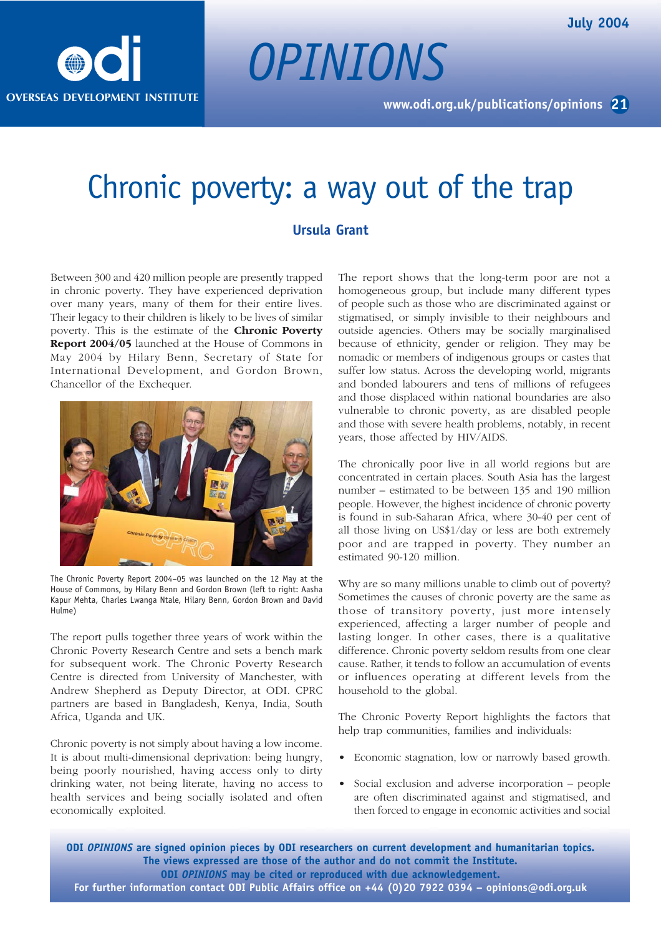

## Chronic poverty: a way out of the trap

*OPINIONS*

## **Ursula Grant**

Between 300 and 420 million people are presently trapped in chronic poverty. They have experienced deprivation over many years, many of them for their entire lives. Their legacy to their children is likely to be lives of similar poverty. This is the estimate of the **Chronic Poverty Report 2004/05** launched at the House of Commons in May 2004 by Hilary Benn, Secretary of State for International Development, and Gordon Brown, Chancellor of the Exchequer.



The Chronic Poverty Report 2004–05 was launched on the 12 May at the House of Commons, by Hilary Benn and Gordon Brown (left to right: Aasha Kapur Mehta, Charles Lwanga Ntale, Hilary Benn, Gordon Brown and David Hulme)

The report pulls together three years of work within the Chronic Poverty Research Centre and sets a bench mark for subsequent work. The Chronic Poverty Research Centre is directed from University of Manchester, with Andrew Shepherd as Deputy Director, at ODI. CPRC partners are based in Bangladesh, Kenya, India, South Africa, Uganda and UK.

Chronic poverty is not simply about having a low income. It is about multi-dimensional deprivation: being hungry, being poorly nourished, having access only to dirty drinking water, not being literate, having no access to health services and being socially isolated and often economically exploited.

The report shows that the long-term poor are not a homogeneous group, but include many different types of people such as those who are discriminated against or stigmatised, or simply invisible to their neighbours and outside agencies. Others may be socially marginalised because of ethnicity, gender or religion. They may be nomadic or members of indigenous groups or castes that suffer low status. Across the developing world, migrants and bonded labourers and tens of millions of refugees and those displaced within national boundaries are also vulnerable to chronic poverty, as are disabled people and those with severe health problems, notably, in recent years, those affected by HIV/AIDS.

The chronically poor live in all world regions but are concentrated in certain places. South Asia has the largest number – estimated to be between 135 and 190 million people. However, the highest incidence of chronic poverty is found in sub-Saharan Africa, where 30-40 per cent of all those living on US\$1/day or less are both extremely poor and are trapped in poverty. They number an estimated 90-120 million.

Why are so many millions unable to climb out of poverty? Sometimes the causes of chronic poverty are the same as those of transitory poverty, just more intensely experienced, affecting a larger number of people and lasting longer. In other cases, there is a qualitative difference. Chronic poverty seldom results from one clear cause. Rather, it tends to follow an accumulation of events or influences operating at different levels from the household to the global.

The Chronic Poverty Report highlights the factors that help trap communities, families and individuals:

- Economic stagnation, low or narrowly based growth.
- Social exclusion and adverse incorporation people are often discriminated against and stigmatised, and then forced to engage in economic activities and social

**ODI** *OPINIONS* **are signed opinion pieces by ODI researchers on current development and humanitarian topics. The views expressed are those of the author and do not commit the Institute. ODI** *OPINIONS* **may be cited or reproduced with due acknowledgement. For further information contact ODI Public Affairs office on +44 (0)20 7922 0394 – opinions@odi.org.uk**